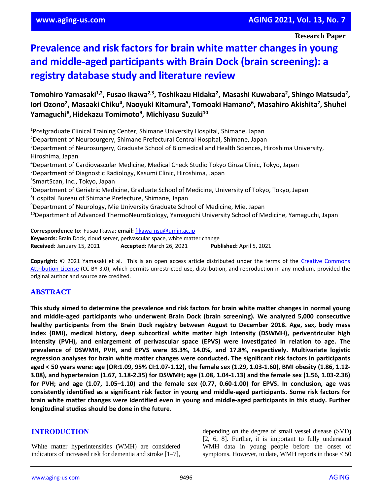**Research Paper**

# **Prevalence and risk factors for brain white matter changes in young and middle-aged participants with Brain Dock (brain screening): a registry database study and literature review**

**Tomohiro Yamasaki1,2, Fusao Ikawa2,3, Toshikazu Hidaka<sup>2</sup> , Masashi Kuwabara<sup>2</sup> , Shingo Matsuda<sup>2</sup> ,**  Iori Ozono<sup>2</sup>, Masaaki Chiku<sup>4</sup>, Naoyuki Kitamura<sup>5</sup>, Tomoaki Hamano<sup>6</sup>, Masahiro Akishita<sup>7</sup>, Shuhei **Yamaguchi<sup>8</sup> ,Hidekazu Tomimoto<sup>9</sup> , Michiyasu Suzuki<sup>10</sup>**

<sup>1</sup>Postgraduate Clinical Training Center, Shimane University Hospital, Shimane, Japan <sup>2</sup>Department of Neurosurgery, Shimane Prefectural Central Hospital, Shimane, Japan <sup>3</sup>Department of Neurosurgery, Graduate School of Biomedical and Health Sciences, Hiroshima University, Hiroshima, Japan <sup>4</sup>Department of Cardiovascular Medicine, Medical Check Studio Tokyo Ginza Clinic, Tokyo, Japan <sup>5</sup>Department of Diagnostic Radiology, Kasumi Clinic, Hiroshima, Japan 6 SmartScan, Inc., Tokyo, Japan <sup>7</sup>Department of Geriatric Medicine, Graduate School of Medicine, University of Tokyo, Tokyo, Japan <sup>8</sup>Hospital Bureau of Shimane Prefecture, Shimane, Japan <sup>9</sup>Department of Neurology, Mie University Graduate School of Medicine, Mie, Japan <sup>10</sup>Department of Advanced ThermoNeuroBiology, Yamaguchi University School of Medicine, Yamaguchi, Japan **Correspondence to:** Fusao Ikawa; **email:** [fikawa-nsu@umin.ac.jp](mailto:fikawa-nsu@umin.ac.jp)

**Keywords:** Brain Dock, cloud server, perivascular space, white matter change **Received:** January 15, 2021 **Accepted:** March 26, 2021 **Published:** April 5, 2021

**Copyright:** © 2021 Yamasaki et al. This is an open access article distributed under the terms of the [Creative Commons](https://creativecommons.org/licenses/by/3.0/)  [Attribution License](https://creativecommons.org/licenses/by/3.0/) (CC BY 3.0), which permits unrestricted use, distribution, and reproduction in any medium, provided the original author and source are credited.

# **ABSTRACT**

This study aimed to determine the prevalence and risk factors for brain white matter changes in normal young **and middle-aged participants who underwent Brain Dock (brain screening). We analyzed 5,000 consecutive healthy participants from the Brain Dock registry between August to December 2018. Age, sex, body mass index (BMI), medical history, deep subcortical white matter high intensity (DSWMH), periventricular high intensity (PVH), and enlargement of perivascular space (EPVS) were investigated in relation to age. The prevalence of DSWMH, PVH, and EPVS were 35.3%, 14.0%, and 17.8%, respectively. Multivariate logistic regression analyses for brain white matter changes were conducted. The significant risk factors in participants** aged < 50 years were: age (OR:1.09, 95% CI:1.07-1.12), the female sex (1.29, 1.03-1.60), BMI obesity (1.86, 1.12-**3.08), and hypertension (1.67, 1.18-2.35) for DSWMH; age (1.08, 1.04-1.13) and the female sex (1.56, 1.03-2.36)** for PVH; and age (1.07, 1.05–1.10) and the female sex (0.77, 0.60-1.00) for EPVS. In conclusion, age was consistently identified as a significant risk factor in young and middle-aged participants. Some risk factors for **brain white matter changes were identified even in young and middle-aged participants in this study. Further longitudinal studies should be done in the future.**

# **INTRODUCTION**

White matter hyperintensities (WMH) are considered indicators of increased risk for dementia and stroke [1–7], depending on the degree of small vessel disease (SVD) [2, 6, 8]. Further, it is important to fully understand WMH data in young people before the onset of symptoms. However, to date, WMH reports in those < 50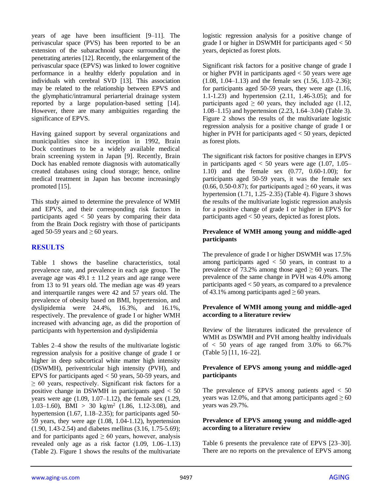years of age have been insufficient [9–11]. The perivascular space (PVS) has been reported to be an extension of the subarachnoid space surrounding the penetrating arteries [12]. Recently, the enlargement of the perivascular space (EPVS) was linked to lower cognitive performance in a healthy elderly population and in individuals with cerebral SVD [13]. This association may be related to the relationship between EPVS and the glymphatic/intramural periarterial drainage system reported by a large population-based setting [14]. However, there are many ambiguities regarding the significance of EPVS.

Having gained support by several organizations and municipalities since its inception in 1992, Brain Dock continues to be a widely available medical brain screening system in Japan [9]. Recently, Brain Dock has enabled remote diagnosis with automatically created databases using cloud storage; hence, online medical treatment in Japan has become increasingly promoted [15].

This study aimed to determine the prevalence of WMH and EPVS, and their corresponding risk factors in participants aged < 50 years by comparing their data from the Brain Dock registry with those of participants aged 50-59 years and  $\geq 60$  years.

## **RESULTS**

Table 1 shows the baseline characteristics, total prevalence rate, and prevalence in each age group. The average age was  $49.1 \pm 11.2$  years and age range were from 13 to 91 years old. The median age was 49 years and interquartile ranges were 42 and 57 years old. The prevalence of obesity based on BMI, hypertension, and dyslipidemia were 24.4%, 16.3%, and 16.1%, respectively. The prevalence of grade I or higher WMH increased with advancing age, as did the proportion of participants with hypertension and dyslipidemia

Tables 2–4 show the results of the multivariate logistic regression analysis for a positive change of grade I or higher in deep subcortical white matter high intensity (DSWMH), periventricular high intensity (PVH), and EPVS for participants aged  $< 50$  years, 50-59 years, and  $\geq 60$  years, respectively. Significant risk factors for a positive change in DSWMH in participants aged < 50 years were age (1.09, 1.07–1.12), the female sex (1.29, 1.03–1.60), BMI > 30 kg/m<sup>2</sup> (1.86, 1.12-3.08), and hypertension (1.67, 1.18–2.35); for participants aged 50- 59 years, they were age (1.08, 1.04-1.12), hypertension (1.90, 1.43-2.54) and diabetes mellitus (3.16, 1.75-5.69); and for participants aged  $\geq 60$  years, however, analysis revealed only age as a risk factor (1.09, 1.06–1.13) (Table 2). Figure 1 shows the results of the multivariate

logistic regression analysis for a positive change of grade I or higher in DSWMH for participants aged < 50 years, depicted as forest plots.

Significant risk factors for a positive change of grade I or higher PVH in participants aged < 50 years were age (1.08, 1.04–1.13) and the female sex (1.56, 1.03–2.36); for participants aged 50-59 years, they were age (1.16, 1.1-1.23) and hypertension (2.11, 1.46-3.05); and for participants aged  $\geq 60$  years, they included age (1.12, 1.08–1.15) and hypertension (2.23, 1.64–3.04) (Table 3). Figure 2 shows the results of the multivariate logistic regression analysis for a positive change of grade I or higher in PVH for participants aged < 50 years, depicted as forest plots.

The significant risk factors for positive changes in EPVS in participants aged  $< 50$  years were age (1.07, 1.05– 1.10) and the female sex (0.77, 0.60-1.00); for participants aged 50-59 years, it was the female sex  $(0.66, 0.50-0.87)$ ; for participants aged  $\geq 60$  years, it was hypertension  $(1.71, 1.25-2.35)$  (Table 4). Figure 3 shows the results of the multivariate logistic regression analysis for a positive change of grade I or higher in EPVS for participants aged < 50 years, depicted as forest plots.

#### **Prevalence of WMH among young and middle-aged participants**

The prevalence of grade I or higher DSWMH was 17.5% among participants aged  $\langle 50 \rangle$  years, in contrast to a prevalence of 73.2% among those aged  $\geq 60$  years. The prevalence of the same change in PVH was 4.0% among participants aged < 50 years, as compared to a prevalence of 43.1% among participants aged  $\geq 60$  years.

#### **Prevalence of WMH among young and middle-aged according to a literature review**

Review of the literatures indicated the prevalence of WMH as DSWMH and PVH among healthy individuals of  $\langle 50 \rangle$  years of age ranged from 3.0% to 66.7% (Table 5) [11, 16–22].

## **Prevalence of EPVS among young and middle-aged participants**

The prevalence of EPVS among patients aged  $< 50$ years was 12.0%, and that among participants aged  $\geq 60$ years was 29.7%.

## **Prevalence of EPVS among young and middle-aged according to a literature review**

Table 6 presents the prevalence rate of EPVS [23–30]. There are no reports on the prevalence of EPVS among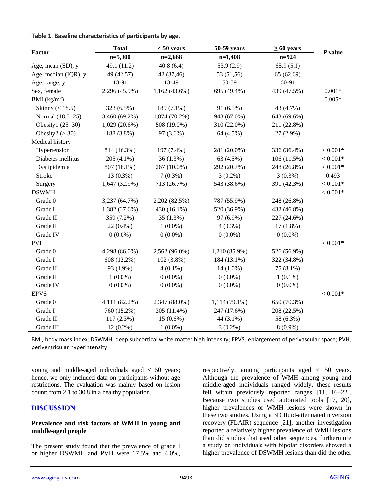|                      | <b>Total</b>    | $< 50$ years    | 50-59 years   | $\geq 60$ years |            |
|----------------------|-----------------|-----------------|---------------|-----------------|------------|
| Factor               | $n=5,000$       | $n=2,668$       | $n=1,408$     | $n = 924$       | $P$ value  |
| Age, mean (SD), y    | 49.1 (11.2)     | 40.8(6.4)       | 53.9(2.9)     | 65.9(5.1)       |            |
| Age, median (IQR), y | 49 (42,57)      | 42 (37,46)      | 53 (51,56)    | 65 (62,69)      |            |
| Age, range, y        | 13-91           | 13-49           | 50-59         | 60-91           |            |
| Sex, female          | 2,296 (45.9%)   | $1,162(43.6\%)$ | 695 (49.4%)   | 439 (47.5%)     | $0.001*$   |
| BMI $(kg/m^2)$       |                 |                 |               |                 | $0.005*$   |
| Skinny (< 18.5)      | 323 (6.5%)      | 189 (7.1%)      | 91 (6.5%)     | 43 (4.7%)       |            |
| Normal (18.5-25)     | 3,460 (69.2%)   | 1,874 (70.2%)   | 943 (67.0%)   | 643 (69.6%)     |            |
| Obesity1 (25-30)     | $1,029(20.6\%)$ | 508 (19.0%)     | 310 (22.0%)   | 211 (22.8%)     |            |
| Obesity2 ( $>$ 30)   | 188 (3.8%)      | 97 (3.6%)       | 64 (4.5%)     | 27 (2.9%)       |            |
| Medical history      |                 |                 |               |                 |            |
| Hypertension         | 814 (16.3%)     | 197 (7.4%)      | 281 (20.0%)   | 336 (36.4%)     | $< 0.001*$ |
| Diabetes mellitus    | 205 (4.1%)      | 36(1.3%)        | 63 (4.5%)     | 106 (11.5%)     | $< 0.001*$ |
| Dyslipidemia         | 807 (16.1%)     | 267 (10.0%)     | 292 (20.7%)   | 248 (26.8%)     | $< 0.001*$ |
| <b>Stroke</b>        | 13 (0.3%)       | $7(0.3\%)$      | $3(0.2\%)$    | $3(0.3\%)$      | 0.493      |
| Surgery              | 1,647 (32.9%)   | 713 (26.7%)     | 543 (38.6%)   | 391 (42.3%)     | $< 0.001*$ |
| <b>DSWMH</b>         |                 |                 |               |                 | $< 0.001*$ |
| Grade 0              | 3,237 (64.7%)   | 2,202 (82.5%)   | 787 (55.9%)   | 248 (26.8%)     |            |
| Grade I              | 1,382 (27.6%)   | 430 (16.1%)     | 520 (36.9%)   | 432 (46.8%)     |            |
| Grade II             | 359 (7.2%)      | 35 (1.3%)       | 97 (6.9%)     | 227 (24.6%)     |            |
| Grade III            | 22 (0.4%)       | $1(0.0\%)$      | $4(0.3\%)$    | $17(1.8\%)$     |            |
| Grade IV             | $0(0.0\%)$      | $0(0.0\%)$      | $0(0.0\%)$    | $0(0.0\%)$      |            |
| <b>PVH</b>           |                 |                 |               |                 | $< 0.001*$ |
| Grade 0              | 4,298 (86.0%)   | 2,562 (96.0%)   | 1,210 (85.9%) | 526 (56.9%)     |            |
| Grade I              | 608 (12.2%)     | 102 (3.8%)      | 184 (13.1%)   | 322 (34.8%)     |            |
| Grade II             | 93 (1.9%)       | $4(0.1\%)$      | $14(1.0\%)$   | 75 (8.1%)       |            |
| Grade III            | $1(0.0\%)$      | $0(0.0\%)$      | $0(0.0\%)$    | $1(0.1\%)$      |            |
| Grade IV             | $0(0.0\%)$      | $0(0.0\%)$      | $0(0.0\%)$    | $0(0.0\%)$      |            |
| <b>EPVS</b>          |                 |                 |               |                 | $< 0.001*$ |
| Grade 0              | 4,111 (82.2%)   | 2,347 (88.0%)   | 1,114 (79.1%) | 650 (70.3%)     |            |
| Grade I              | 760 (15.2%)     | 305 (11.4%)     | 247 (17.6%)   | 208 (22.5%)     |            |
| Grade II             | $117(2.3\%)$    | $15(0.6\%)$     | 44 (3.1%)     | 58 (6.3%)       |            |
| Grade III            | $12(0.2\%)$     | $1(0.0\%)$      | $3(0.2\%)$    | $8(0.9\%)$      |            |

**Table 1. Baseline characteristics of participants by age.**

BMI, body mass index; DSWMH, deep subcortical white matter high intensity; EPVS, enlargement of perivascular space; PVH, periventricular hyperintensity.

young and middle-aged individuals aged < 50 years; hence, we only included data on participants without age restrictions. The evaluation was mainly based on lesion count: from 2.1 to 30.8 in a healthy population.

## **DISCUSSION**

#### **Prevalence and risk factors of WMH in young and middle-aged people**

The present study found that the prevalence of grade I or higher DSWMH and PVH were 17.5% and 4.0%, respectively, among participants aged < 50 years. Although the prevalence of WMH among young and middle-aged individuals ranged widely, these results fell within previously reported ranges [11, 16–22]. Because two studies used automated tools [17, 20], higher prevalences of WMH lesions were shown in these two studies. Using a 3D fluid-attenuated inversion recovery (FLAIR) sequence [21], another investigation reported a relatively higher prevalence of WMH lesions than did studies that used other sequences, furthermore a study on individuals with bipolar disorders showed a higher prevalence of DSWMH lesions than did the other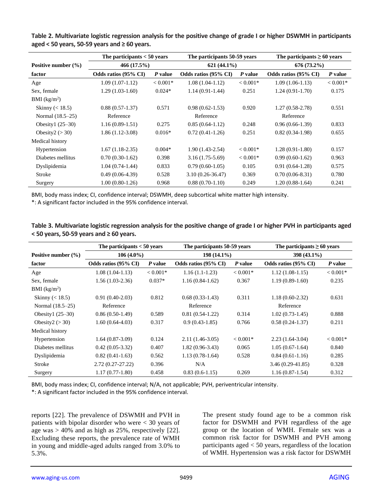|                          | The participants $< 50$ years | The participants 50-59 years |                      | The participants $\geq 60$ years |                      |               |
|--------------------------|-------------------------------|------------------------------|----------------------|----------------------------------|----------------------|---------------|
| Positive number $(\% )$  | 466(17.5%)                    |                              |                      | $621(44.1\%)$                    |                      | $676(73.2\%)$ |
| factor                   | Odds ratios (95% CI)          | P value                      | Odds ratios (95% CI) | P value                          | Odds ratios (95% CI) | P value       |
| Age                      | $1.09(1.07-1.12)$             | $< 0.001*$                   | $1.08(1.04-1.12)$    | $< 0.001*$                       | $1.09(1.06-1.13)$    | $< 0.001*$    |
| Sex, female              | $1.29(1.03-1.60)$             | $0.024*$                     | $1.14(0.91-1.44)$    | 0.251                            | $1.24(0.91-1.70)$    | 0.175         |
| BMI (kg/m <sup>2</sup> ) |                               |                              |                      |                                  |                      |               |
| Skinny $(< 18.5)$        | $0.88(0.57-1.37)$             | 0.571                        | $0.98(0.62 - 1.53)$  | 0.920                            | $1.27(0.58-2.78)$    | 0.551         |
| Normal (18.5–25)         | Reference                     |                              | Reference            |                                  | Reference            |               |
| Obesity $1(25-30)$       | $1.16(0.89-1.51)$             | 0.275                        | $0.85(0.64-1.12)$    | 0.248                            | $0.96(0.66-1.39)$    | 0.833         |
| Obesity $2 (> 30)$       | $1.86(1.12-3.08)$             | $0.016*$                     | $0.72(0.41-1.26)$    | 0.251                            | $0.82(0.34-1.98)$    | 0.655         |
| Medical history          |                               |                              |                      |                                  |                      |               |
| Hypertension             | $1.67(1.18-2.35)$             | $0.004*$                     | $1.90(1.43-2.54)$    | $< 0.001*$                       | $1.28(0.91-1.80)$    | 0.157         |
| Diabetes mellitus        | $0.70(0.30-1.62)$             | 0.398                        | $3.16(1.75-5.69)$    | $< 0.001*$                       | $0.99(0.60-1.62)$    | 0.963         |
| Dyslipidemia             | $1.04(0.74-1.44)$             | 0.833                        | $0.79(0.60-1.05)$    | 0.105                            | $0.91(0.64-1.28)$    | 0.575         |
| Stroke                   | $0.49(0.06-4.39)$             | 0.528                        | $3.10(0.26 - 36.47)$ | 0.369                            | $0.70(0.06-8.31)$    | 0.780         |
| Surgery                  | $1.00(0.80-1.26)$             | 0.968                        | $0.88(0.70-1.10)$    | 0.249                            | $1.20(0.88-1.64)$    | 0.241         |

**Table 2. Multivariate logistic regression analysis for the positive change of grade I or higher DSWMH in participants aged < 50 years, 50-59 years and ≥ 60 years.**

BMI, body mass index; CI, confidence interval; DSWMH, deep subcortical white matter high intensity.

\*: A significant factor included in the 95% confidence interval.

| Table 3. Multivariate logistic regression analysis for the positive change of grade I or higher PVH in participants aged |  |
|--------------------------------------------------------------------------------------------------------------------------|--|
| $\le$ 50 years, 50-59 years and $\ge$ 60 years.                                                                          |  |

|                         | The participants $< 50$ years |            | The participants 50-59 years |            | The participants $\geq 60$ years |            |  |
|-------------------------|-------------------------------|------------|------------------------------|------------|----------------------------------|------------|--|
| Positive number $(\% )$ | $106(4.0\%)$                  |            | $198(14.1\%)$                |            | $398(43.1\%)$                    |            |  |
| factor                  | Odds ratios (95% CI)          | P value    | Odds ratios (95% CI)         | P value    | Odds ratios (95% CI)             | P value    |  |
| Age                     | $1.08(1.04-1.13)$             | $< 0.001*$ | $1.16(1.1-1.23)$             | $< 0.001*$ | $1.12(1.08-1.15)$                | $< 0.001*$ |  |
| Sex, female             | $1.56(1.03-2.36)$             | $0.037*$   | $1.16(0.84-1.62)$            | 0.367      | $1.19(0.89-1.60)$                | 0.235      |  |
| BMI $(kg/m2)$           |                               |            |                              |            |                                  |            |  |
| Skinny $(< 18.5)$       | $0.91(0.40-2.03)$<br>0.812    |            | $0.68(0.33-1.43)$            | 0.311      | $1.18(0.60-2.32)$                | 0.631      |  |
| Normal (18.5–25)        | Reference                     |            | Reference                    |            | Reference                        |            |  |
| Obesity1 $(25-30)$      | $0.86(0.50-1.49)$             | 0.589      | $0.81(0.54-1.22)$            | 0.314      | $1.02(0.73-1.45)$                | 0.888      |  |
| Obesity $2 (> 30)$      | $1.60(0.64-4.03)$             | 0.317      | $0.9(0.43-1.85)$             | 0.766      | $0.58(0.24-1.37)$                | 0.211      |  |
| Medical history         |                               |            |                              |            |                                  |            |  |
| Hypertension            | $1.64(0.87-3.09)$             | 0.124      | $2.11(1.46-3.05)$            | $< 0.001*$ | $2.23(1.64-3.04)$                | $< 0.001*$ |  |
| Diabetes mellitus       | $0.42(0.05-3.32)$             | 0.407      | $1.82(0.96-3.43)$            | 0.065      | $1.05(0.67-1.64)$                | 0.840      |  |
| Dyslipidemia            | $0.82(0.41-1.63)$             | 0.562      | $1.13(0.78-1.64)$            | 0.528      | $0.84(0.61-1.16)$                | 0.285      |  |
| Stroke                  | $2.72(0.27-27.22)$            | 0.396      | N/A                          |            | $3.46(0.29 - 41.85)$             | 0.328      |  |
| Surgery                 | $1.17(0.77-1.80)$             | 0.458      | $0.83(0.6-1.15)$             | 0.269      | $1.16(0.87-1.54)$                | 0.312      |  |

BMI, body mass index; CI, confidence interval; N/A, not applicable; PVH, periventricular intensity.

\*: A significant factor included in the 95% confidence interval.

reports [22]. The prevalence of DSWMH and PVH in patients with bipolar disorder who were < 30 years of age was  $> 40\%$  and as high as 25%, respectively [22]. Excluding these reports, the prevalence rate of WMH in young and middle-aged adults ranged from 3.0% to 5.3%.

The present study found age to be a common risk factor for DSWMH and PVH regardless of the age group or the location of WMH. Female sex was a common risk factor for DSWMH and PVH among participants aged < 50 years, regardless of the location of WMH. Hypertension was a risk factor for DSWMH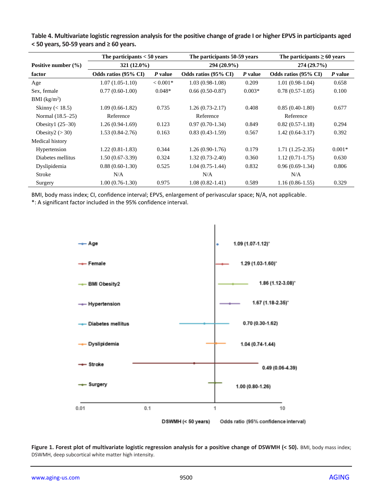|                          | The participants $< 50$ years |            | The participants 50-59 years |          | The participants $\geq 60$ years |          |  |
|--------------------------|-------------------------------|------------|------------------------------|----------|----------------------------------|----------|--|
| Positive number $(\% )$  | $321(12.0\%)$                 |            | 294 (20.9%)                  |          | 274(29.7%)                       |          |  |
| factor                   | Odds ratios (95% CI)          | P value    | Odds ratios (95% CI)         | P value  | Odds ratios (95% CI)             | P value  |  |
| Age                      | $1.07(1.05-1.10)$             | $< 0.001*$ | $1.03(0.98-1.08)$            | 0.209    | $1.01(0.98-1.04)$                | 0.658    |  |
| Sex, female              | $0.77(0.60-1.00)$             | $0.048*$   | $0.66(0.50-0.87)$            | $0.003*$ | $0.78(0.57-1.05)$                | 0.100    |  |
| BMI (kg/m <sup>2</sup> ) |                               |            |                              |          |                                  |          |  |
| Skinny $(< 18.5)$        | $1.09(0.66-1.82)$             | 0.735      | $1.26(0.73-2.17)$            | 0.408    | $0.85(0.40-1.80)$                | 0.677    |  |
| Normal (18.5–25)         | Reference                     |            | Reference                    |          | Reference                        |          |  |
| Obesity $1(25-30)$       | $1.26(0.94-1.69)$             | 0.123      | $0.97(0.70-1.34)$            | 0.849    | $0.82(0.57-1.18)$                | 0.294    |  |
| Obesity $2 (> 30)$       | $1.53(0.84-2.76)$             | 0.163      | $0.83(0.43-1.59)$            | 0.567    | $1.42(0.64 - 3.17)$              | 0.392    |  |
| Medical history          |                               |            |                              |          |                                  |          |  |
| Hypertension             | $1.22(0.81-1.83)$             | 0.344      | $1.26(0.90-1.76)$            | 0.179    | $1.71(1.25-2.35)$                | $0.001*$ |  |
| Diabetes mellitus        | $1.50(0.67-3.39)$             | 0.324      | $1.32(0.73-2.40)$            | 0.360    | $1.12(0.71-1.75)$                | 0.630    |  |
| Dyslipidemia             | $0.88(0.60-1.30)$             | 0.525      | $1.04(0.75-1.44)$            | 0.832    | $0.96(0.69-1.34)$                | 0.806    |  |
| Stroke                   | N/A                           |            | N/A                          |          | N/A                              |          |  |
| Surgery                  | $1.00(0.76-1.30)$             | 0.975      | $1.08(0.82 - 1.41)$          | 0.589    | $1.16(0.86-1.55)$                | 0.329    |  |

**Table 4. Multivariate logistic regression analysis for the positive change of grade I or higher EPVS in participants aged < 50 years, 50-59 years and ≥ 60 years.**

BMI, body mass index; CI, confidence interval; EPVS, enlargement of perivascular space; N/A, not applicable.

\*: A significant factor included in the 95% confidence interval.



Figure 1. Forest plot of multivariate logistic regression analysis for a positive change of DSWMH (< 50). BMI, body mass index; DSWMH, deep subcortical white matter high intensity.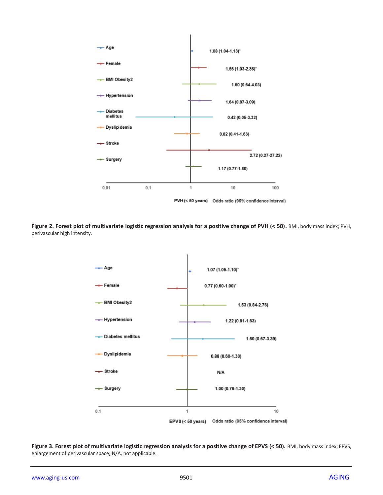

**Figure 2. Forest plot of multivariate logistic regression analysis for a positive change of PVH (< 50).** BMI, body mass index; PVH, perivascular high intensity.



Figure 3. Forest plot of multivariate logistic regression analysis for a positive change of EPVS (< 50). BMI, body mass index; EPVS, enlargement of perivascular space; N/A, not applicable.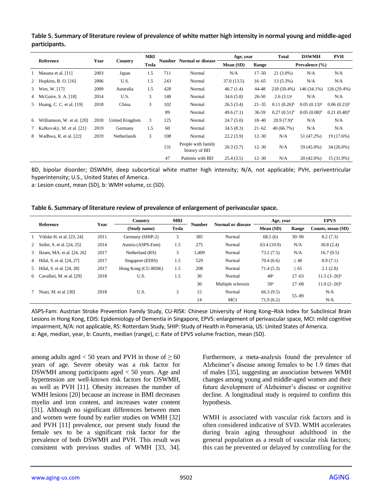**Table 5. Summary of literature review of prevalence of white matter high intensity in normal young and middle-aged participants.**

|   |                              | Year<br>Country |                | MRI   |     |                                              |            | Age, year |                  | <b>DSWMH</b>     | <b>PVH</b>       |
|---|------------------------------|-----------------|----------------|-------|-----|----------------------------------------------|------------|-----------|------------------|------------------|------------------|
|   | Reference                    |                 |                | Tesla |     | <b>Number</b> Normal or disease<br>Mean (SD) |            | Range     | Prevalence (%)   |                  |                  |
|   | 1 Masana et al. $[11]$       | 2003            | Japan          | 1.5   | 711 | Normal                                       | N/A        | $17 - 50$ | $21(3.0\%)$      | N/A              | N/A              |
|   | 2 Hopkins, R. O. [16]        | 2006            | U.S.           | 1.5   | 243 | Normal                                       | 37.0(13.5) | $16 - 65$ | $13(5.3\%)$      | N/A              | N/A              |
|   | 3 Wen, W. [17]               | 2009            | Australia      | 1.5   | 428 | Normal                                       | 46.7(1.4)  | 44-48     | 218 (50.4%)      | 146 (34.1%)      | 126 (29.4%)      |
|   | 4 McGuire, S. A. [18]        | 2014            | U.S.           | 3     | 148 | Normal                                       | 34.6(5.8)  | 26-50     | $2.6(3.1)^a$     | N/A              | N/A              |
|   | 5 Huang, C. C. et al. [19]   | 2018            | China          | 3     | 102 | Normal                                       | 26.5(3.4)  | $21 - 35$ | $0.11(0.26)^{b}$ | $0.05(0.13)^{b}$ | $0.06(0.23)^{b}$ |
|   |                              |                 |                |       | 89  | Normal                                       | 49.6(7.1)  | 36-59     | $0.27(0.51)^{b}$ | $0.05(0.08)^{b}$ | $0.21(0.48)^{b}$ |
|   | 6 Williamson, W. et al. [20] | 2018            | United Kingdom | 3     | 125 | Normal                                       | 24.7(5.0)  | $18 - 40$ | $20.9(7.9)^a$    | N/A              | N/A              |
|   | 7 Keřkovský, M. et al. [21]  | 2019            | Germany        | 1.5   | 60  | Normal                                       | 34.5(8.3)  | $21 - 62$ | 40 (66.7%)       | N/A              | N/A              |
| 8 | Wadhwa, R. et al. [22]       | 2019            | Netherlands    | 3     | 108 | Normal                                       | 22.2(3.9)  | $12 - 30$ | N/A              | 51 (47.2%)       | 19 (17.6%)       |
|   |                              |                 |                |       | 131 | People with family<br>history of BD          | 20.3(5.7)  | $12 - 30$ | N/A              | 59 (45.0%)       | $34(26.0\%)$     |
|   |                              |                 |                |       | 47  | Patients with BD                             | 25.4(3.5)  | $12 - 30$ | N/A              | $20(42.6\%)$     | 15 (31.9%)       |

BD, bipolar disorder; DSWMH, deep subcortical white matter high intensity; N/A, not applicable; PVH, periventricular hyperintensity; U.S., United States of America.

a: Lesion count, mean (SD), b: WMH volume, cc (SD).

**Table 6. Summary of literature review of prevalence of enlargement of perivascular space.**

|                |                              |      | Country             | MRI          | <b>Number</b> |                    | Age, year       |           | <b>EPVS</b>         |
|----------------|------------------------------|------|---------------------|--------------|---------------|--------------------|-----------------|-----------|---------------------|
| Reference      |                              | Year | (Study name)        | <b>Tesla</b> |               | Normal or disease  | Mean (SD)       | Range     | Counts, mean (SD)   |
|                | Völzke H. et al. [23, 24]    | 2011 | Germany (SHIP-2)    | 3            | 385           | Normal             | 68.5(6)         | $30 - 90$ | 8.2(7.3)            |
|                | 2 Seiler, S. et al. [24, 25] | 2014 | Austria (ASPS-Fam)  | 1.5          | 275           | Normal             | 63.4(10.9)      | N/A       | 30.8(2.4)           |
| 3              | Ikram, MA. et al. [24, 26]   | 2017 | Netherland (RS)     | 3            | 1,409         | Normal             | 73.2(7.5)       | N/A       | 16.7(9.5)           |
| $\overline{4}$ | Hilal, S. et al. [24, 27]    | 2017 | Singapore (EDIS)    | 1.5          | 529           | Normal             | 70.4(6.6)       | $\geq 40$ | 8.9(7.1)            |
| 5              | Hilal, S. et al. [24, 28]    | 2017 | Hong Kong (CU-RISK) | 1.5          | 208           | Normal             | 71.4(5.3)       | $\geq 65$ | 2.1(2.8)            |
| 6              | Cavallari, M. et al. [29]    | 2018 | U.S.                | 1.5          | 30            | Normal             | 48 <sup>a</sup> | $27 - 63$ | $11.5(3-26)^{b}$    |
|                |                              |      |                     |              | 30            | Multiple sclerosis | 50 <sup>a</sup> | $27 - 68$ | $11.0 (2 - 26)^{b}$ |
|                | Niazi, M. et al. $[30]$      | 2018 | U.S.                | 3            | 15            | Normal             | 66.3(9.5)       |           | N/A                 |
|                |                              |      |                     |              | 14            | MCI                | 71.9(6.2)       | $55 - 89$ | N/A                 |

ASPS-Fam: Austrian Stroke Prevention Family Study, CU-RISK: Chinese University of Hong Kong–Risk Index for Subclinical Brain Lesions in Hong Kong, EDIS: Epidemiology of Dementia in Singapore, EPVS: enlargement of perivascular space, MCI: mild cognitive impairment, N/A: not applicable, RS: Rotterdam Study, SHIP: Study of Health in Pomerania, US: United States of America. a: Age, median, year, b: Counts, median (range), c: Rate of EPVS volume fraction, mean (SD).

among adults aged < 50 years and PVH in those of  $\geq 60$ years of age. Severe obesity was a risk factor for DSWMH among participants aged < 50 years. Age and hypertension are well-known risk factors for DSWMH, as well as PVH [11]. Obesity increases the number of WMH lesions [20] because an increase in BMI decreases myelin and iron content, and increases water content [31]. Although no significant differences between men and women were found by earlier studies on WMH [32] and PVH [11] prevalence, our present study found the female sex to be a significant risk factor for the prevalence of both DSWMH and PVH. This result was consistent with previous studies of WMH [33, 34]. Furthermore, a meta-analysis found the prevalence of Alzheimer's disease among females to be 1.9 times that of males [35], suggesting an association between WMH changes among young and middle-aged women and their future development of Alzheimer's disease or cognitive decline. A longitudinal study is required to confirm this hypothesis.

WMH is associated with vascular risk factors and is often considered indicative of SVD. WMH accelerates during brain aging throughout adulthood in the general population as a result of vascular risk factors; this can be prevented or delayed by controlling for the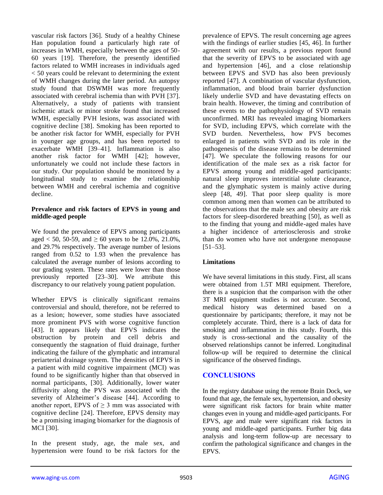vascular risk factors [36]. Study of a healthy Chinese Han population found a particularly high rate of increases in WMH, especially between the ages of 50- 60 years [19]. Therefore, the presently identified factors related to WMH increases in individuals aged < 50 years could be relevant to determining the extent of WMH changes during the later period. An autopsy study found that DSWMH was more frequently associated with cerebral ischemia than with PVH [37]. Alternatively, a study of patients with transient ischemic attack or minor stroke found that increased WMH, especially PVH lesions, was associated with cognitive decline [38]. Smoking has been reported to be another risk factor for WMH, especially for PVH in younger age groups, and has been reported to exacerbate WMH [39–41]. Inflammation is also another risk factor for WMH [42]; however, unfortunately we could not include these factors in our study. Our population should be monitored by a longitudinal study to examine the relationship between WMH and cerebral ischemia and cognitive decline.

#### **Prevalence and risk factors of EPVS in young and middle-aged people**

We found the prevalence of EPVS among participants aged < 50, 50-59, and  $\geq 60$  years to be 12.0%, 21.0%, and 29.7% respectively. The average number of lesions ranged from 0.52 to 1.93 when the prevalence has calculated the average number of lesions according to our grading system. These rates were lower than those previously reported [23–30]. We attribute this discrepancy to our relatively young patient population.

Whether EPVS is clinically significant remains controversial and should, therefore, not be referred to as a lesion; however, some studies have associated more prominent PVS with worse cognitive function [43]. It appears likely that EPVS indicates the obstruction by protein and cell debris and consequently the stagnation of fluid drainage, further indicating the failure of the glymphatic and intramural periarterial drainage system. The densities of EPVS in a patient with mild cognitive impairment (MCI) was found to be significantly higher than that observed in normal participants, [30]. Additionally, lower water diffusivity along the PVS was associated with the severity of Alzheimer's disease [44]. According to another report, EPVS of  $\geq$  3 mm was associated with cognitive decline [24]. Therefore, EPVS density may be a promising imaging biomarker for the diagnosis of MCI [30].

In the present study, age, the male sex, and hypertension were found to be risk factors for the

prevalence of EPVS. The result concerning age agrees with the findings of earlier studies [45, 46]. In further agreement with our results, a previous report found that the severity of EPVS to be associated with age and hypertension [46], and a close relationship between EPVS and SVD has also been previously reported [47]. A combination of vascular dysfunction, inflammation, and blood brain barrier dysfunction likely underlie SVD and have devastating effects on brain health. However, the timing and contribution of these events to the pathophysiology of SVD remain unconfirmed. MRI has revealed imaging biomarkers for SVD, including EPVS, which correlate with the SVD burden. Nevertheless, how PVS becomes enlarged in patients with SVD and its role in the pathogenesis of the disease remains to be determined [47]. We speculate the following reasons for our identification of the male sex as a risk factor for EPVS among young and middle-aged participants: natural sleep improves interstitial solute clearance, and the glymphatic system is mainly active during sleep [48, 49]. That poor sleep quality is more common among men than women can be attributed to the observations that the male sex and obesity are risk factors for sleep-disordered breathing [50], as well as to the finding that young and middle-aged males have a higher incidence of arteriosclerosis and stroke than do women who have not undergone menopause [51–53].

# **Limitations**

We have several limitations in this study. First, all scans were obtained from 1.5T MRI equipment. Therefore, there is a suspicion that the comparison with the other 3T MRI equipment studies is not accurate. Second, medical history was determined based on a questionnaire by participants; therefore, it may not be completely accurate. Third, there is a lack of data for smoking and inflammation in this study. Fourth, this study is cross-sectional and the causality of the observed relationships cannot be inferred. Longitudinal follow-up will be required to determine the clinical significance of the observed findings.

# **CONCLUSIONS**

In the registry database using the remote Brain Dock, we found that age, the female sex, hypertension, and obesity were significant risk factors for brain white matter changes even in young and middle-aged participants. For EPVS, age and male were significant risk factors in young and middle-aged participants. Further big data analysis and long-term follow-up are necessary to confirm the pathological significance and changes in the EPVS.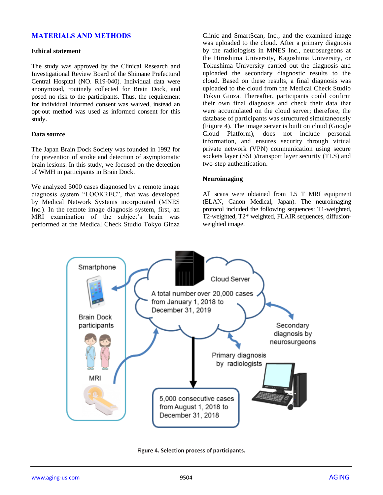# **MATERIALS AND METHODS**

#### **Ethical statement**

The study was approved by the Clinical Research and Investigational Review Board of the Shimane Prefectural Central Hospital (NO. R19-040). Individual data were anonymized, routinely collected for Brain Dock, and posed no risk to the participants. Thus, the requirement for individual informed consent was waived, instead an opt-out method was used as informed consent for this study.

#### **Data source**

The Japan Brain Dock Society was founded in 1992 for the prevention of stroke and detection of asymptomatic brain lesions. In this study, we focused on the detection of WMH in participants in Brain Dock.

We analyzed 5000 cases diagnosed by a remote image diagnosis system "LOOKREC", that was developed by Medical Network Systems incorporated (MNES Inc.). In the remote image diagnosis system, first, an MRI examination of the subject's brain was performed at the Medical Check Studio Tokyo Ginza

Clinic and SmartScan, Inc., and the examined image was uploaded to the cloud. After a primary diagnosis by the radiologists in MNES Inc., neurosurgeons at the Hiroshima University, Kagoshima University, or Tokushima University carried out the diagnosis and uploaded the secondary diagnostic results to the cloud. Based on these results, a final diagnosis was uploaded to the cloud from the Medical Check Studio Tokyo Ginza. Thereafter, participants could confirm their own final diagnosis and check their data that were accumulated on the cloud server; therefore, the database of participants was structured simultaneously (Figure 4). The image server is built on cloud (Google Cloud Platform), does not include personal information, and ensures security through virtual private network (VPN) communication using secure sockets layer (SSL)/transport layer security (TLS) and two-step authentication.

#### **Neuroimaging**

All scans were obtained from 1.5 T MRI equipment (ELAN, Canon Medical, Japan). The neuroimaging protocol included the following sequences: T1-weighted, T2-weighted, T2\* weighted, FLAIR sequences, diffusionweighted image.



**Figure 4. Selection process of participants.**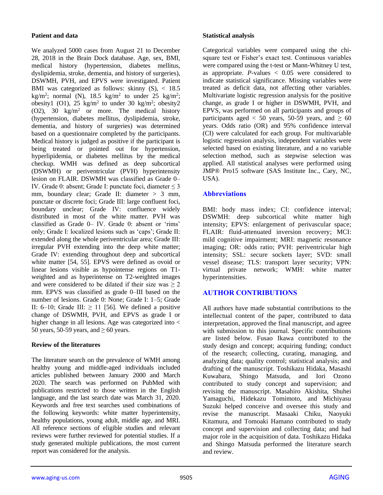## **Patient and data**

We analyzed 5000 cases from August 21 to December 28, 2018 in the Brain Dock database. Age, sex, BMI, medical history (hypertension, diabetes mellitus, dyslipidemia, stroke, dementia, and history of surgeries), DSWMH, PVH, and EPVS were investigated. Patient BMI was categorized as follows: skinny  $(S)$ , < 18.5 kg/m<sup>2</sup>; normal (N), 18.5 kg/m<sup>2</sup> to under 25 kg/m<sup>2</sup>; obesity1 (O1),  $25 \text{ kg/m}^2$  to under 30 kg/m<sup>2</sup>; obesity2  $(02)$ , 30 kg/m<sup>2</sup> or more. The medical history (hypertension, diabetes mellitus, dyslipidemia, stroke, dementia, and history of surgeries) was determined based on a questionnaire completed by the participants. Medical history is judged as positive if the participant is being treated or pointed out for hypertension, hyperlipidemia, or diabetes mellitus by the medical checkup. WMH was defined as deep subcortical (DSWMH) or periventricular (PVH) hyperintensity lesion on FLAIR. DSWMH was classified as Grade 0– IV. Grade 0: absent; Grade I: punctate foci, diameter ≤ 3 mm, boundary clear; Grade II: diameter > 3 mm, punctate or discrete foci; Grade III: large confluent foci, boundary unclear; Grade IV: confluence widely distributed in most of the white matter. PVH was classified as Grade 0– IV. Grade 0: absent or 'rims' only; Grade I: localized lesions such as 'caps'; Grade II: extended along the whole periventricular area; Grade III: irregular PVH extending into the deep white matter; Grade IV: extending throughout deep and subcortical white matter [54, 55]. EPVS were defined as ovoid or linear lesions visible as hypointense regions on T1 weighted and as hyperintense on T2-weighted images and were considered to be dilated if their size was  $\geq 2$ mm. EPVS was classified as grade 0–III based on the number of lesions. Grade 0: None; Grade I: 1–5; Grade II: 6–10; Grade III:  $\geq$  11 [56]. We defined a positive change of DSWMH, PVH, and EPVS as grade I or higher change in all lesions. Age was categorized into < 50 years, 50-59 years, and  $\geq 60$  years.

# **Review of the literatures**

The literature search on the prevalence of WMH among healthy young and middle-aged individuals included articles published between January 2000 and March 2020. The search was performed on PubMed with publications restricted to those written in the English language, and the last search date was March 31, 2020. Keywords and free text searches used combinations of the following keywords: white matter hyperintensity, healthy populations, young adult, middle age, and MRI. All reference sections of eligible studies and relevant reviews were further reviewed for potential studies. If a study generated multiple publications, the most current report was considered for the analysis.

## **Statistical analysis**

Categorical variables were compared using the chisquare test or Fisher's exact test. Continuous variables were compared using the t-test or Mann-Whitney U test, as appropriate.  $P$ -values  $\lt$  0.05 were considered to indicate statistical significance. Missing variables were treated as deficit data, not affecting other variables. Multivariate logistic regression analysis for the positive change, as grade I or higher in DSWMH, PVH, and EPVS, was performed on all participants and groups of participants aged < 50 years, 50-59 years, and  $\geq 60$ years. Odds ratio (OR) and 95% confidence interval (CI) were calculated for each group. For multivariable logistic regression analysis, independent variables were selected based on existing literature, and a no variable selection method, such as stepwise selection was applied. All statistical analyses were performed using JMP® Pro15 software (SAS Institute Inc., Cary, NC, USA).

# **Abbreviations**

BMI: body mass index; CI: confidence interval; DSWMH: deep subcortical white matter high intensity; EPVS: enlargement of perivascular space; FLAIR: fluid-attenuated inversion recovery; MCI: mild cognitive impairment; MRI: magnetic resonance imaging; OR: odds ratio; PVH: periventricular high intensity; SSL: secure sockets layer; SVD: small vessel disease; TLS: transport layer security; VPN: virtual private network; WMH: white matter hyperintensities.

# **AUTHOR CONTRIBUTIONS**

All authors have made substantial contributions to the intellectual content of the paper, contributed to data interpretation, approved the final manuscript, and agree with submission to this journal. Specific contributions are listed below. Fusao Ikawa contributed to the study design and concept; acquiring funding; conduct of the research; collecting, curating, managing, and analyzing data; quality control; statistical analysis; and drafting of the manuscript. Toshikazu Hidaka, Masashi Kuwabara, Shingo Matsuda, and Iori Ozono contributed to study concept and supervision; and revising the manuscript. Masahiro Akishita, Shuhei Yamaguchi, Hidekazu Tomimoto, and Michiyasu Suzuki helped conceive and oversee this study and revise the manuscript. Masaaki Chiku, Naoyuki Kitamura, and Tomoaki Hamano contributed to study concept and supervision and collecting data; and had major role in the acquisition of data. Toshikazu Hidaka and Shingo Matsuda performed the literature search and review.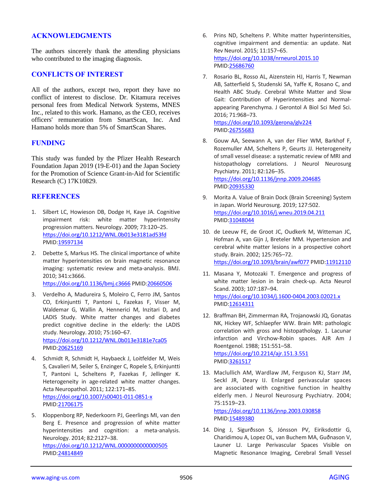## **ACKNOWLEDGMENTS**

The authors sincerely thank the attending physicians who contributed to the imaging diagnosis.

#### **CONFLICTS OF INTEREST**

All of the authors, except two, report they have no conflict of interest to disclose. Dr. Kitamura receives personal fees from Medical Network Systems, MNES Inc., related to this work. Hamano, as the CEO, receives officers' remuneration from SmartScan, Inc. And Hamano holds more than 5% of SmartScan Shares.

## **FUNDING**

This study was funded by the Pfizer Health Research Foundation Japan 2019 (19-E-01) and the Japan Society for the Promotion of Science Grant-in-Aid for Scientific Research (C) 17K10829.

#### **REFERENCES**

- 1. Silbert LC, Howieson DB, Dodge H, Kaye JA. Cognitive impairment risk: white matter hyperintensity progression matters. Neurology. 2009; 73:120–25. <https://doi.org/10.1212/WNL.0b013e3181ad53fd> PMID[:19597134](https://pubmed.ncbi.nlm.nih.gov/19597134)
- 2. Debette S, Markus HS. The clinical importance of white matter hyperintensities on brain magnetic resonance imaging: systematic review and meta-analysis. BMJ. 2010; 341:c3666.

<https://doi.org/10.1136/bmj.c3666> PMID[:20660506](https://pubmed.ncbi.nlm.nih.gov/20660506)

- 3. Verdelho A, Madureira S, Moleiro C, Ferro JM, Santos CO, Erkinjuntti T, Pantoni L, Fazekas F, Visser M, Waldemar G, Wallin A, Hennerici M, Inzitari D, and LADIS Study. White matter changes and diabetes predict cognitive decline in the elderly: the LADIS study. Neurology. 2010; 75:160–67. <https://doi.org/10.1212/WNL.0b013e3181e7ca05> PMID[:20625169](https://pubmed.ncbi.nlm.nih.gov/20625169)
- 4. Schmidt R, Schmidt H, Haybaeck J, Loitfelder M, Weis S, Cavalieri M, Seiler S, Enzinger C, Ropele S, Erkinjuntti T, Pantoni L, Scheltens P, Fazekas F, Jellinger K. Heterogeneity in age-related white matter changes. Acta Neuropathol. 2011; 122:171–85. <https://doi.org/10.1007/s00401-011-0851-x> PMID[:21706175](https://pubmed.ncbi.nlm.nih.gov/21706175)
- 5. Kloppenborg RP, Nederkoorn PJ, Geerlings MI, van den Berg E. Presence and progression of white matter hyperintensities and cognition: a meta-analysis. Neurology. 2014; 82:2127–38. <https://doi.org/10.1212/WNL.0000000000000505> PMID[:24814849](https://pubmed.ncbi.nlm.nih.gov/24814849)
- 6. Prins ND, Scheltens P. White matter hyperintensities, cognitive impairment and dementia: an update. Nat Rev Neurol. 2015; 11:157–65. <https://doi.org/10.1038/nrneurol.2015.10> PMI[D:25686760](https://pubmed.ncbi.nlm.nih.gov/25686760)
- 7. Rosario BL, Rosso AL, Aizenstein HJ, Harris T, Newman AB, Satterfield S, Studenski SA, Yaffe K, Rosano C, and Health ABC Study. Cerebral White Matter and Slow Gait: Contribution of Hyperintensities and Normalappearing Parenchyma. J Gerontol A Biol Sci Med Sci. 2016; 71:968–73. <https://doi.org/10.1093/gerona/glv224>

PMI[D:26755683](https://pubmed.ncbi.nlm.nih.gov/26755683)

- 8. Gouw AA, Seewann A, van der Flier WM, Barkhof F, Rozemuller AM, Scheltens P, Geurts JJ. Heterogeneity of small vessel disease: a systematic review of MRI and histopathology correlations. J Neurol Neurosurg Psychiatry. 2011; 82:126–35. <https://doi.org/10.1136/jnnp.2009.204685> PMI[D:20935330](https://pubmed.ncbi.nlm.nih.gov/20935330)
- 9. Morita A. Value of Brain Dock (Brain Screening) System in Japan. World Neurosurg. 2019; 127:502. <https://doi.org/10.1016/j.wneu.2019.04.211> PMI[D:31048044](https://pubmed.ncbi.nlm.nih.gov/31048044)
- 10. de Leeuw FE, de Groot JC, Oudkerk M, Witteman JC, Hofman A, van Gijn J, Breteler MM. Hypertension and cerebral white matter lesions in a prospective cohort study. Brain. 2002; 125:765–72. <https://doi.org/10.1093/brain/awf077> PMID[:11912110](https://pubmed.ncbi.nlm.nih.gov/11912110)
- 11. Masana Y, Motozaki T. Emergence and progress of white matter lesion in brain check-up. Acta Neurol Scand. 2003; 107:187–94. <https://doi.org/10.1034/j.1600-0404.2003.02021.x> PMI[D:12614311](https://pubmed.ncbi.nlm.nih.gov/12614311)
- 12. Braffman BH, Zimmerman RA, Trojanowski JQ, Gonatas NK, Hickey WF, Schlaepfer WW. Brain MR: pathologic correlation with gross and histopathology. 1. Lacunar infarction and Virchow-Robin spaces. AJR Am J Roentgenol. 1988; 151:551–58. <https://doi.org/10.2214/ajr.151.3.551> PMI[D:3261517](https://pubmed.ncbi.nlm.nih.gov/3261517)
- 13. Maclullich AM, Wardlaw JM, Ferguson KJ, Starr JM, Seckl JR, Deary IJ. Enlarged perivascular spaces are associated with cognitive function in healthy elderly men. J Neurol Neurosurg Psychiatry. 2004; 75:1519–23.

<https://doi.org/10.1136/jnnp.2003.030858> PMI[D:15489380](https://pubmed.ncbi.nlm.nih.gov/15489380)

14. Ding J, Sigurðsson S, Jónsson PV, Eiriksdottir G, Charidimou A, Lopez OL, van Buchem MA, Guðnason V, Launer LJ. Large Perivascular Spaces Visible on Magnetic Resonance Imaging, Cerebral Small Vessel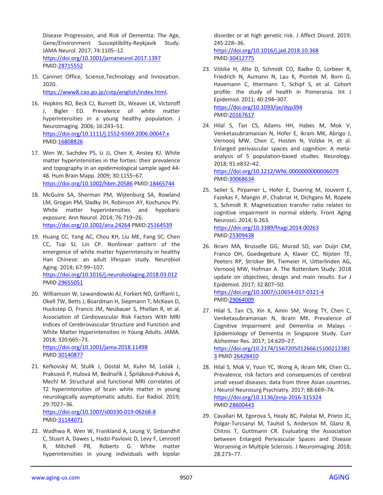Disease Progression, and Risk of Dementia: The Age, Gene/Environment Susceptibility-Reykjavik Study. JAMA Neurol. 2017; 74:1105–12. <https://doi.org/10.1001/jamaneurol.2017.1397> PMID[:28715552](https://pubmed.ncbi.nlm.nih.gov/28715552)

15. Caninet Office, Science,Technology and Innovation. 2020.

[https://www8.cao.go.jp/cstp/english/index.html.](https://www8.cao.go.jp/cstp/english/index.html)

- 16. Hopkins RO, Beck CJ, Burnett DL, Weaver LK, Victoroff J, Bigler ED. Prevalence of white matter hyperintensities in a young healthy population. J Neuroimaging. 2006; 16:243–51. <https://doi.org/10.1111/j.1552-6569.2006.00047.x> PMID[:16808826](https://pubmed.ncbi.nlm.nih.gov/16808826)
- 17. Wen W, Sachdev PS, Li JJ, Chen X, Anstey KJ. White matter hyperintensities in the forties: their prevalence and topography in an epidemiological sample aged 44- 48. Hum Brain Mapp. 2009; 30:1155–67. <https://doi.org/10.1002/hbm.20586> PMID[:18465744](https://pubmed.ncbi.nlm.nih.gov/18465744)
- 18. McGuire SA, Sherman PM, Wijtenburg SA, Rowland LM, Grogan PM, Sladky JH, Robinson AY, Kochunov PV. White matter hyperintensities and hypobaric exposure. Ann Neurol. 2014; 76:719–26. <https://doi.org/10.1002/ana.24264> PMID[:25164539](https://pubmed.ncbi.nlm.nih.gov/25164539)
- 19. Huang CC, Yang AC, Chou KH, Liu ME, Fang SC, Chen CC, Tsai SJ, Lin CP. Nonlinear pattern of the emergence of white matter hyperintensity in healthy Han Chinese: an adult lifespan study. Neurobiol Aging. 2018; 67:99–107. <https://doi.org/10.1016/j.neurobiolaging.2018.03.012> PMID[:29655051](https://pubmed.ncbi.nlm.nih.gov/29655051)
- 20. Williamson W, Lewandowski AJ, Forkert ND, Griffanti L, Okell TW, Betts J, Boardman H, Siepmann T, McKean D, Huckstep O, Francis JM, Neubauer S, Phellan R, et al. Association of Cardiovascular Risk Factors With MRI Indices of Cerebrovascular Structure and Function and White Matter Hyperintensities in Young Adults. JAMA. 2018; 320:665–73. <https://doi.org/10.1001/jama.2018.11498>

PMID[:30140877](https://pubmed.ncbi.nlm.nih.gov/30140877)

21. Keřkovský M, Stulík J, Dostál M, Kuhn M, Lošák J, Praksová P, Hulová M, Bednařík J, Šprláková-Puková A, Mechl M. Structural and functional MRI correlates of T2 hyperintensities of brain white matter in young neurologically asymptomatic adults. Eur Radiol. 2019; 29:7027–36.

<https://doi.org/10.1007/s00330-019-06268-8> PMID[:31144071](https://pubmed.ncbi.nlm.nih.gov/31144071)

22. Wadhwa R, Wen W, Frankland A, Leung V, Sinbandhit C, Stuart A, Dawes L, Hadzi-Pavlovic D, Levy F, Lenrootl R, Mitchell PB, Roberts G. White matter hyperintensities in young individuals with bipolar disorder or at high genetic risk. J Affect Disord. 2019; 245:228–36.

<https://doi.org/10.1016/j.jad.2018.10.368> PMI[D:30412775](https://pubmed.ncbi.nlm.nih.gov/30412775)

- 23. Völzke H, Alte D, Schmidt CO, Radke D, Lorbeer R, Friedrich N, Aumann N, Lau K, Piontek M, Born G, Havemann C, Ittermann T, Schipf S, et al. Cohort profile: the study of health in Pomerania. Int J Epidemiol. 2011; 40:294–307. <https://doi.org/10.1093/ije/dyp394> PMI[D:20167617](https://pubmed.ncbi.nlm.nih.gov/20167617)
- 24. Hilal S, Tan CS, Adams HH, Habes M, Mok V, Venketasubramanian N, Hofer E, Ikram MK, Abrigo J, Vernooij MW, Chen C, Hosten N, Volzke H, et al. Enlarged perivascular spaces and cognition: A metaanalysis of 5 population-based studies. Neurology. 2018; 91:e832–42. <https://doi.org/10.1212/WNL.0000000000006079> PMI[D:30068634](https://pubmed.ncbi.nlm.nih.gov/30068634)
- 25. Seiler S, Pirpamer L, Hofer E, Duering M, Jouvent E, Fazekas F, Mangin JF, Chabriat H, Dichgans M, Ropele S, Schmidt R. Magnetization transfer ratio relates to cognitive impairment in normal elderly. Front Aging Neurosci. 2014; 6:263. <https://doi.org/10.3389/fnagi.2014.00263> PMI[D:25309438](https://pubmed.ncbi.nlm.nih.gov/25309438)
- 26. Ikram MA, Brusselle GG, Murad SD, van Duijn CM, Franco OH, Goedegebure A, Klaver CC, Nijsten TE, Peeters RP, Stricker BH, Tiemeier H, Uitterlinden AG, Vernooij MW, Hofman A. The Rotterdam Study: 2018 update on objectives, design and main results. Eur J

Epidemiol. 2017; 32:807–50. <https://doi.org/10.1007/s10654-017-0321-4> PMI[D:29064009](https://pubmed.ncbi.nlm.nih.gov/29064009)

- 27. Hilal S, Tan CS, Xin X, Amin SM, Wong TY, Chen C, Venketasubramanian N, Ikram MK. Prevalence of Cognitive Impairment and Dementia in Malays - Epidemiology of Dementia in Singapore Study. Curr Alzheimer Res. 2017; 14:620–27. [https://doi.org/10.2174/156720501266615100212381](https://doi.org/10.2174/1567205012666151002123813) [3](https://doi.org/10.2174/1567205012666151002123813) PMI[D:26428410](https://pubmed.ncbi.nlm.nih.gov/26428410)
- 28. Hilal S, Mok V, Youn YC, Wong A, Ikram MK, Chen CL. Prevalence, risk factors and consequences of cerebral small vessel diseases: data from three Asian countries. J Neurol Neurosurg Psychiatry. 2017; 88:669–74. <https://doi.org/10.1136/jnnp-2016-315324> PMI[D:28600443](https://pubmed.ncbi.nlm.nih.gov/28600443)
- 29. Cavallari M, Egorova S, Healy BC, Palotai M, Prieto JC, Polgar-Turcsanyi M, Tauhid S, Anderson M, Glanz B, Chitnis T, Guttmann CR. Evaluating the Association between Enlarged Perivascular Spaces and Disease Worsening in Multiple Sclerosis. J Neuroimaging. 2018; 28:273–77.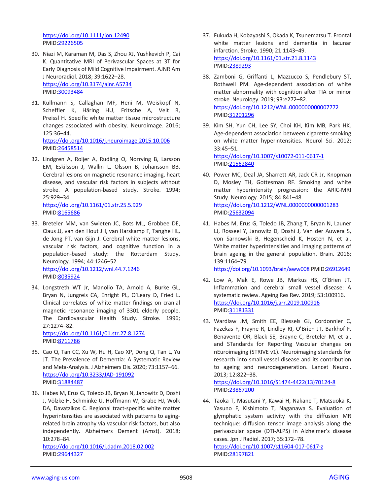<https://doi.org/10.1111/jon.12490> PMID[:29226505](https://pubmed.ncbi.nlm.nih.gov/29226505)

- 30. Niazi M, Karaman M, Das S, Zhou XJ, Yushkevich P, Cai K. Quantitative MRI of Perivascular Spaces at 3T for Early Diagnosis of Mild Cognitive Impairment. AJNR Am J Neuroradiol. 2018; 39:1622–28. <https://doi.org/10.3174/ajnr.A5734> PMID[:30093484](https://pubmed.ncbi.nlm.nih.gov/30093484)
- 31. Kullmann S, Callaghan MF, Heni M, Weiskopf N, Scheffler K, Häring HU, Fritsche A, Veit R, Preissl H. Specific white matter tissue microstructure changes associated with obesity. Neuroimage. 2016; 125:36–44. <https://doi.org/10.1016/j.neuroimage.2015.10.006> PMID[:26458514](https://pubmed.ncbi.nlm.nih.gov/26458514)
- 32. Lindgren A, Roijer A, Rudling O, Norrving B, Larsson EM, Eskilsson J, Wallin L, Olsson B, Johansson BB. Cerebral lesions on magnetic resonance imaging, heart disease, and vascular risk factors in subjects without stroke. A population-based study. Stroke. 1994; 25:929–34.

<https://doi.org/10.1161/01.str.25.5.929> PMID[:8165686](https://pubmed.ncbi.nlm.nih.gov/8165686)

- 33. Breteler MM, van Swieten JC, Bots ML, Grobbee DE, Claus JJ, van den Hout JH, van Harskamp F, Tanghe HL, de Jong PT, van Gijn J. Cerebral white matter lesions, vascular risk factors, and cognitive function in a population-based study: the Rotterdam Study. Neurology. 1994; 44:1246–52. <https://doi.org/10.1212/wnl.44.7.1246> PMID[:8035924](https://pubmed.ncbi.nlm.nih.gov/8035924)
- 34. Longstreth WT Jr, Manolio TA, Arnold A, Burke GL, Bryan N, Jungreis CA, Enright PL, O'Leary D, Fried L. Clinical correlates of white matter findings on cranial magnetic resonance imaging of 3301 elderly people. The Cardiovascular Health Study. Stroke. 1996; 27:1274–82.

<https://doi.org/10.1161/01.str.27.8.1274> PMID[:8711786](https://pubmed.ncbi.nlm.nih.gov/8711786)

- 35. Cao Q, Tan CC, Xu W, Hu H, Cao XP, Dong Q, Tan L, Yu JT. The Prevalence of Dementia: A Systematic Review and Meta-Analysis. J Alzheimers Dis. 2020; 73:1157–66. <https://doi.org/10.3233/JAD-191092> PMID[:31884487](https://pubmed.ncbi.nlm.nih.gov/31884487)
- 36. Habes M, Erus G, Toledo JB, Bryan N, Janowitz D, Doshi J, Völzke H, Schminke U, Hoffmann W, Grabe HJ, Wolk DA, Davatzikos C. Regional tract-specific white matter hyperintensities are associated with patterns to agingrelated brain atrophy via vascular risk factors, but also independently. Alzheimers Dement (Amst). 2018; 10:278–84.

<https://doi.org/10.1016/j.dadm.2018.02.002> PMID[:29644327](https://pubmed.ncbi.nlm.nih.gov/29644327)

- 37. Fukuda H, Kobayashi S, Okada K, Tsunematsu T. Frontal white matter lesions and dementia in lacunar infarction. Stroke. 1990; 21:1143–49. <https://doi.org/10.1161/01.str.21.8.1143> PMI[D:2389293](https://pubmed.ncbi.nlm.nih.gov/2389293)
- 38. Zamboni G, Griffanti L, Mazzucco S, Pendlebury ST, Rothwell PM. Age-dependent association of white matter abnormality with cognition after TIA or minor stroke. Neurology. 2019; 93:e272–82. <https://doi.org/10.1212/WNL.0000000000007772> PMI[D:31201296](https://pubmed.ncbi.nlm.nih.gov/31201296)
- 39. Kim SH, Yun CH, Lee SY, Choi KH, Kim MB, Park HK. Age-dependent association between cigarette smoking on white matter hyperintensities. Neurol Sci. 2012; 33:45–51. <https://doi.org/10.1007/s10072-011-0617-1>

PMI[D:21562840](https://pubmed.ncbi.nlm.nih.gov/21562840)

- 40. Power MC, Deal JA, Sharrett AR, Jack CR Jr, Knopman D, Mosley TH, Gottesman RF. Smoking and white matter hyperintensity progression: the ARIC-MRI Study. Neurology. 2015; 84:841–48. <https://doi.org/10.1212/WNL.0000000000001283> PMI[D:25632094](https://pubmed.ncbi.nlm.nih.gov/25632094)
- 41. Habes M, Erus G, Toledo JB, Zhang T, Bryan N, Launer LJ, Rosseel Y, Janowitz D, Doshi J, Van der Auwera S, von Sarnowski B, Hegenscheid K, Hosten N, et al. White matter hyperintensities and imaging patterns of brain ageing in the general population. Brain. 2016; 139:1164–79.

<https://doi.org/10.1093/brain/aww008> PMID[:26912649](https://pubmed.ncbi.nlm.nih.gov/26912649)

- 42. Low A, Mak E, Rowe JB, Markus HS, O'Brien JT. Inflammation and cerebral small vessel disease: A systematic review. Ageing Res Rev. 2019; 53:100916. <https://doi.org/10.1016/j.arr.2019.100916> PMI[D:31181331](https://pubmed.ncbi.nlm.nih.gov/31181331)
- 43. Wardlaw JM, Smith EE, Biessels GJ, Cordonnier C, Fazekas F, Frayne R, Lindley RI, O'Brien JT, Barkhof F, Benavente OR, Black SE, Brayne C, Breteler M, et al, and STandards for ReportIng Vascular changes on nEuroimaging (STRIVE v1). Neuroimaging standards for research into small vessel disease and its contribution to ageing and neurodegeneration. Lancet Neurol. 2013; 12:822–38.

[https://doi.org/10.1016/S1474-4422\(13\)70124-8](https://doi.org/10.1016/S1474-4422(13)70124-8) PMI[D:23867200](https://pubmed.ncbi.nlm.nih.gov/23867200)

44. Taoka T, Masutani Y, Kawai H, Nakane T, Matsuoka K, Yasuno F, Kishimoto T, Naganawa S. Evaluation of glymphatic system activity with the diffusion MR technique: diffusion tensor image analysis along the perivascular space (DTI-ALPS) in Alzheimer's disease cases. Jpn J Radiol. 2017; 35:172–78.

<https://doi.org/10.1007/s11604-017-0617-z> PMI[D:28197821](https://pubmed.ncbi.nlm.nih.gov/28197821)